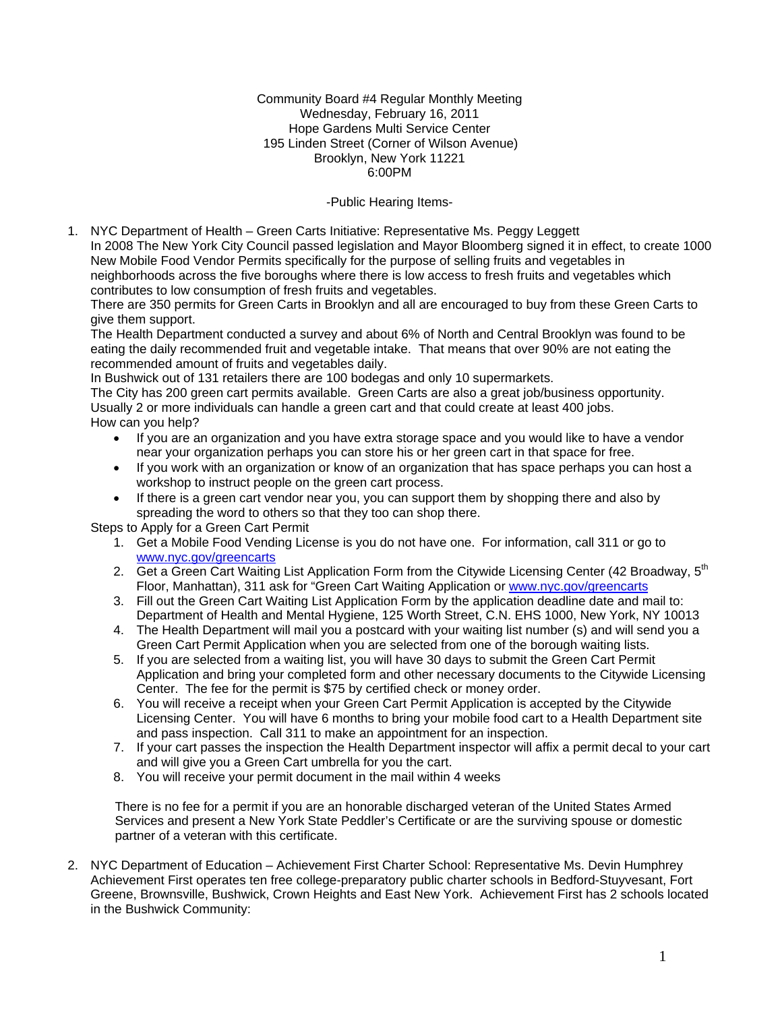Community Board #4 Regular Monthly Meeting Wednesday, February 16, 2011 Hope Gardens Multi Service Center 195 Linden Street (Corner of Wilson Avenue) Brooklyn, New York 11221 6:00PM

### -Public Hearing Items-

1. NYC Department of Health – Green Carts Initiative: Representative Ms. Peggy Leggett In 2008 The New York City Council passed legislation and Mayor Bloomberg signed it in effect, to create 1000 New Mobile Food Vendor Permits specifically for the purpose of selling fruits and vegetables in neighborhoods across the five boroughs where there is low access to fresh fruits and vegetables which contributes to low consumption of fresh fruits and vegetables.

There are 350 permits for Green Carts in Brooklyn and all are encouraged to buy from these Green Carts to give them support.

The Health Department conducted a survey and about 6% of North and Central Brooklyn was found to be eating the daily recommended fruit and vegetable intake. That means that over 90% are not eating the recommended amount of fruits and vegetables daily.

In Bushwick out of 131 retailers there are 100 bodegas and only 10 supermarkets.

The City has 200 green cart permits available. Green Carts are also a great job/business opportunity. Usually 2 or more individuals can handle a green cart and that could create at least 400 jobs. How can you help?

- If you are an organization and you have extra storage space and you would like to have a vendor near your organization perhaps you can store his or her green cart in that space for free.
- If you work with an organization or know of an organization that has space perhaps you can host a workshop to instruct people on the green cart process.
- If there is a green cart vendor near you, you can support them by shopping there and also by spreading the word to others so that they too can shop there.

Steps to Apply for a Green Cart Permit

- 1. Get a Mobile Food Vending License is you do not have one. For information, call 311 or go to [www.nyc.gov/greencarts](http://www.nyc.gov/greencarts)
- 2. Get a Green Cart Waiting List Application Form from the Citywide Licensing Center (42 Broadway, 5<sup>th</sup> Floor, Manhattan), 311 ask for "Green Cart Waiting Application or [www.nyc.gov/greencarts](http://www.nyc.gov/greencarts)
- 3. Fill out the Green Cart Waiting List Application Form by the application deadline date and mail to: Department of Health and Mental Hygiene, 125 Worth Street, C.N. EHS 1000, New York, NY 10013
- 4. The Health Department will mail you a postcard with your waiting list number (s) and will send you a Green Cart Permit Application when you are selected from one of the borough waiting lists.
- 5. If you are selected from a waiting list, you will have 30 days to submit the Green Cart Permit Application and bring your completed form and other necessary documents to the Citywide Licensing Center. The fee for the permit is \$75 by certified check or money order.
- 6. You will receive a receipt when your Green Cart Permit Application is accepted by the Citywide Licensing Center. You will have 6 months to bring your mobile food cart to a Health Department site and pass inspection. Call 311 to make an appointment for an inspection.
- 7. If your cart passes the inspection the Health Department inspector will affix a permit decal to your cart and will give you a Green Cart umbrella for you the cart.
- 8. You will receive your permit document in the mail within 4 weeks

There is no fee for a permit if you are an honorable discharged veteran of the United States Armed Services and present a New York State Peddler's Certificate or are the surviving spouse or domestic partner of a veteran with this certificate.

2. NYC Department of Education – Achievement First Charter School: Representative Ms. Devin Humphrey Achievement First operates ten free college-preparatory public charter schools in Bedford-Stuyvesant, Fort Greene, Brownsville, Bushwick, Crown Heights and East New York. Achievement First has 2 schools located in the Bushwick Community: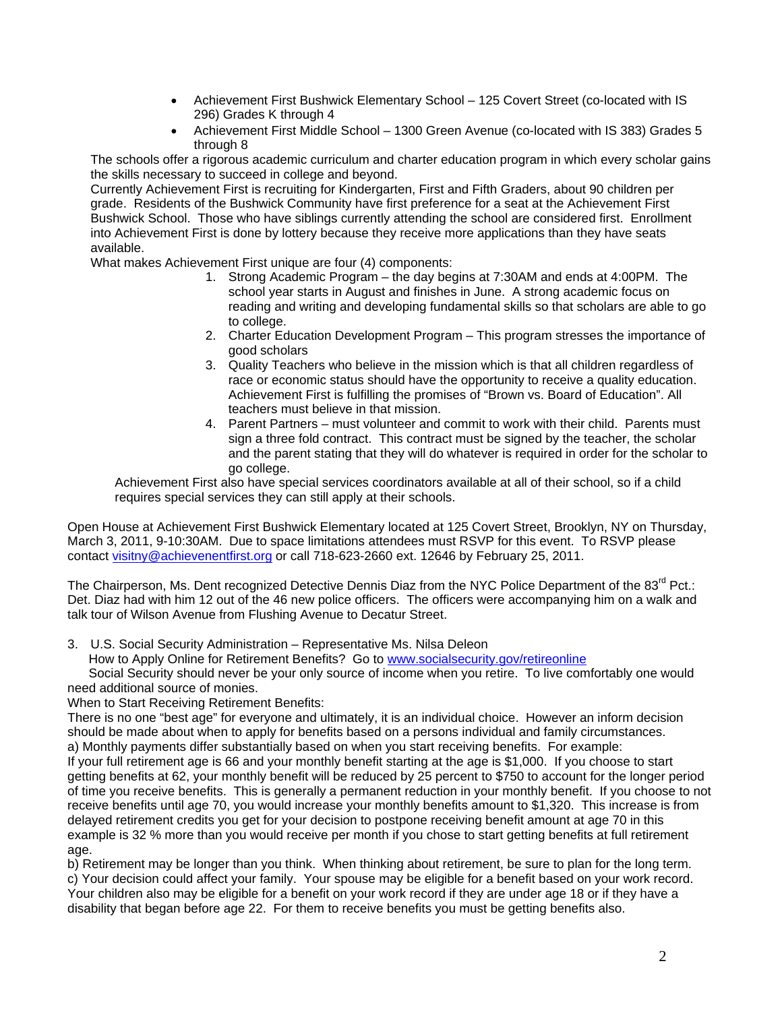- Achievement First Bushwick Elementary School 125 Covert Street (co-located with IS 296) Grades K through 4
- Achievement First Middle School 1300 Green Avenue (co-located with IS 383) Grades 5 through 8

The schools offer a rigorous academic curriculum and charter education program in which every scholar gains the skills necessary to succeed in college and beyond.

Currently Achievement First is recruiting for Kindergarten, First and Fifth Graders, about 90 children per grade. Residents of the Bushwick Community have first preference for a seat at the Achievement First Bushwick School. Those who have siblings currently attending the school are considered first. Enrollment into Achievement First is done by lottery because they receive more applications than they have seats available.

What makes Achievement First unique are four (4) components:

- 1. Strong Academic Program the day begins at 7:30AM and ends at 4:00PM. The school year starts in August and finishes in June. A strong academic focus on reading and writing and developing fundamental skills so that scholars are able to go to college.
- 2. Charter Education Development Program This program stresses the importance of good scholars
- 3. Quality Teachers who believe in the mission which is that all children regardless of race or economic status should have the opportunity to receive a quality education. Achievement First is fulfilling the promises of "Brown vs. Board of Education". All teachers must believe in that mission.
- 4. Parent Partners must volunteer and commit to work with their child. Parents must sign a three fold contract. This contract must be signed by the teacher, the scholar and the parent stating that they will do whatever is required in order for the scholar to go college.

Achievement First also have special services coordinators available at all of their school, so if a child requires special services they can still apply at their schools.

Open House at Achievement First Bushwick Elementary located at 125 Covert Street, Brooklyn, NY on Thursday, March 3, 2011, 9-10:30AM. Due to space limitations attendees must RSVP for this event. To RSVP please contact [visitny@achievenentfirst.org](mailto:visitny@achievenentfirst.org) or call 718-623-2660 ext. 12646 by February 25, 2011.

The Chairperson, Ms. Dent recognized Detective Dennis Diaz from the NYC Police Department of the 83<sup>rd</sup> Pct.: Det. Diaz had with him 12 out of the 46 new police officers. The officers were accompanying him on a walk and talk tour of Wilson Avenue from Flushing Avenue to Decatur Street.

3. U.S. Social Security Administration – Representative Ms. Nilsa Deleon

How to Apply Online for Retirement Benefits? Go to [www.socialsecurity.gov/retireonline](http://www.socialsecurity.gov/retireonline)

 Social Security should never be your only source of income when you retire. To live comfortably one would need additional source of monies.

When to Start Receiving Retirement Benefits:

There is no one "best age" for everyone and ultimately, it is an individual choice. However an inform decision should be made about when to apply for benefits based on a persons individual and family circumstances.

a) Monthly payments differ substantially based on when you start receiving benefits. For example: If your full retirement age is 66 and your monthly benefit starting at the age is \$1,000. If you choose to start getting benefits at 62, your monthly benefit will be reduced by 25 percent to \$750 to account for the longer period of time you receive benefits. This is generally a permanent reduction in your monthly benefit. If you choose to not receive benefits until age 70, you would increase your monthly benefits amount to \$1,320. This increase is from delayed retirement credits you get for your decision to postpone receiving benefit amount at age 70 in this example is 32 % more than you would receive per month if you chose to start getting benefits at full retirement age.

b) Retirement may be longer than you think. When thinking about retirement, be sure to plan for the long term.

c) Your decision could affect your family. Your spouse may be eligible for a benefit based on your work record. Your children also may be eligible for a benefit on your work record if they are under age 18 or if they have a disability that began before age 22. For them to receive benefits you must be getting benefits also.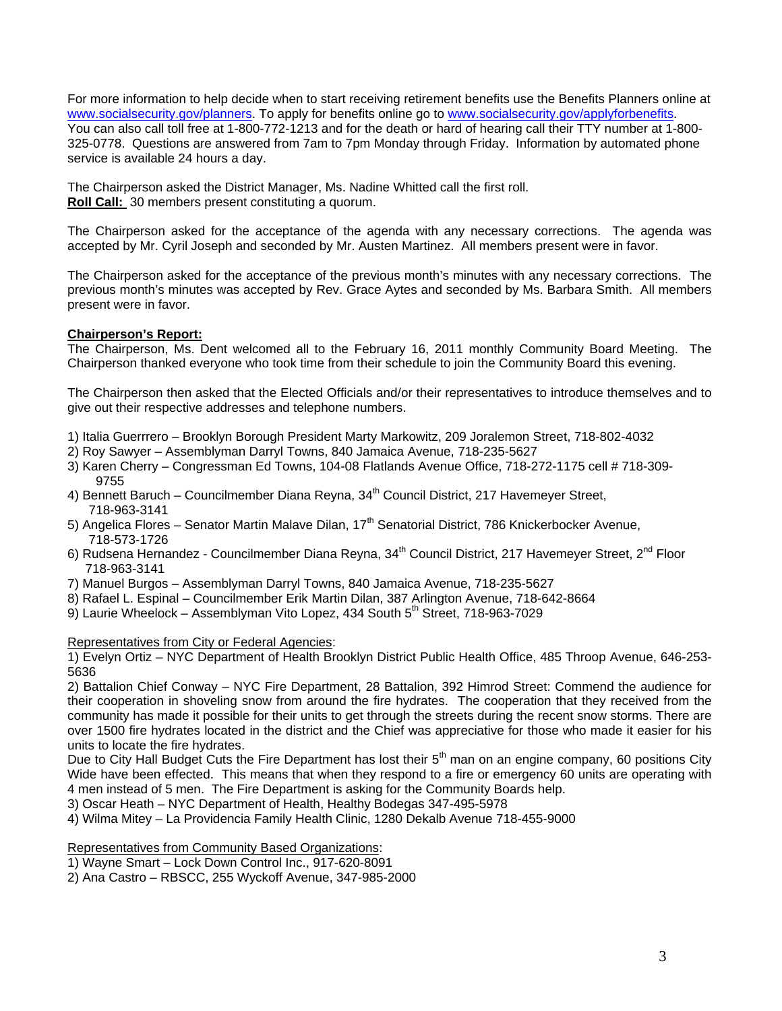For more information to help decide when to start receiving retirement benefits use the Benefits Planners online at [www.socialsecurity.gov/planners](http://www.socialsecurity.gov/planners). To apply for benefits online go to [www.socialsecurity.gov/applyforbenefits.](http://www.socialsecurity.gov/applyforbenefits) You can also call toll free at 1-800-772-1213 and for the death or hard of hearing call their TTY number at 1-800- 325-0778. Questions are answered from 7am to 7pm Monday through Friday. Information by automated phone service is available 24 hours a day.

The Chairperson asked the District Manager, Ms. Nadine Whitted call the first roll. **Roll Call:** 30 members present constituting a quorum.

The Chairperson asked for the acceptance of the agenda with any necessary corrections. The agenda was accepted by Mr. Cyril Joseph and seconded by Mr. Austen Martinez. All members present were in favor.

The Chairperson asked for the acceptance of the previous month's minutes with any necessary corrections. The previous month's minutes was accepted by Rev. Grace Aytes and seconded by Ms. Barbara Smith. All members present were in favor.

## **Chairperson's Report:**

The Chairperson, Ms. Dent welcomed all to the February 16, 2011 monthly Community Board Meeting. The Chairperson thanked everyone who took time from their schedule to join the Community Board this evening.

The Chairperson then asked that the Elected Officials and/or their representatives to introduce themselves and to give out their respective addresses and telephone numbers.

- 1) Italia Guerrrero Brooklyn Borough President Marty Markowitz, 209 Joralemon Street, 718-802-4032
- 2) Roy Sawyer Assemblyman Darryl Towns, 840 Jamaica Avenue, 718-235-5627
- 3) Karen Cherry Congressman Ed Towns, 104-08 Flatlands Avenue Office, 718-272-1175 cell # 718-309- 9755
- 4) Bennett Baruch Councilmember Diana Revna, 34<sup>th</sup> Council District, 217 Havemever Street, 718-963-3141
- 5) Angelica Flores Senator Martin Malave Dilan, 17<sup>th</sup> Senatorial District, 786 Knickerbocker Avenue, 718-573-1726
- 6) Rudsena Hernandez Councilmember Diana Reyna, 34<sup>th</sup> Council District, 217 Havemeyer Street, 2<sup>nd</sup> Floor 718-963-3141
- 7) Manuel Burgos Assemblyman Darryl Towns, 840 Jamaica Avenue, 718-235-5627
- 8) Rafael L. Espinal Councilmember Erik Martin Dilan, 387 Arlington Avenue, 718-642-8664
- 9) Laurie Wheelock Assemblyman Vito Lopez, 434 South 5<sup>th</sup> Street, 718-963-7029

Representatives from City or Federal Agencies:

1) Evelyn Ortiz – NYC Department of Health Brooklyn District Public Health Office, 485 Throop Avenue, 646-253- 5636

2) Battalion Chief Conway – NYC Fire Department, 28 Battalion, 392 Himrod Street: Commend the audience for their cooperation in shoveling snow from around the fire hydrates. The cooperation that they received from the community has made it possible for their units to get through the streets during the recent snow storms. There are over 1500 fire hydrates located in the district and the Chief was appreciative for those who made it easier for his units to locate the fire hydrates.

Due to City Hall Budget Cuts the Fire Department has lost their  $5<sup>th</sup>$  man on an engine company, 60 positions City Wide have been effected. This means that when they respond to a fire or emergency 60 units are operating with 4 men instead of 5 men. The Fire Department is asking for the Community Boards help.

- 3) Oscar Heath NYC Department of Health, Healthy Bodegas 347-495-5978
- 4) Wilma Mitey La Providencia Family Health Clinic, 1280 Dekalb Avenue 718-455-9000

Representatives from Community Based Organizations:

1) Wayne Smart – Lock Down Control Inc., 917-620-8091

2) Ana Castro – RBSCC, 255 Wyckoff Avenue, 347-985-2000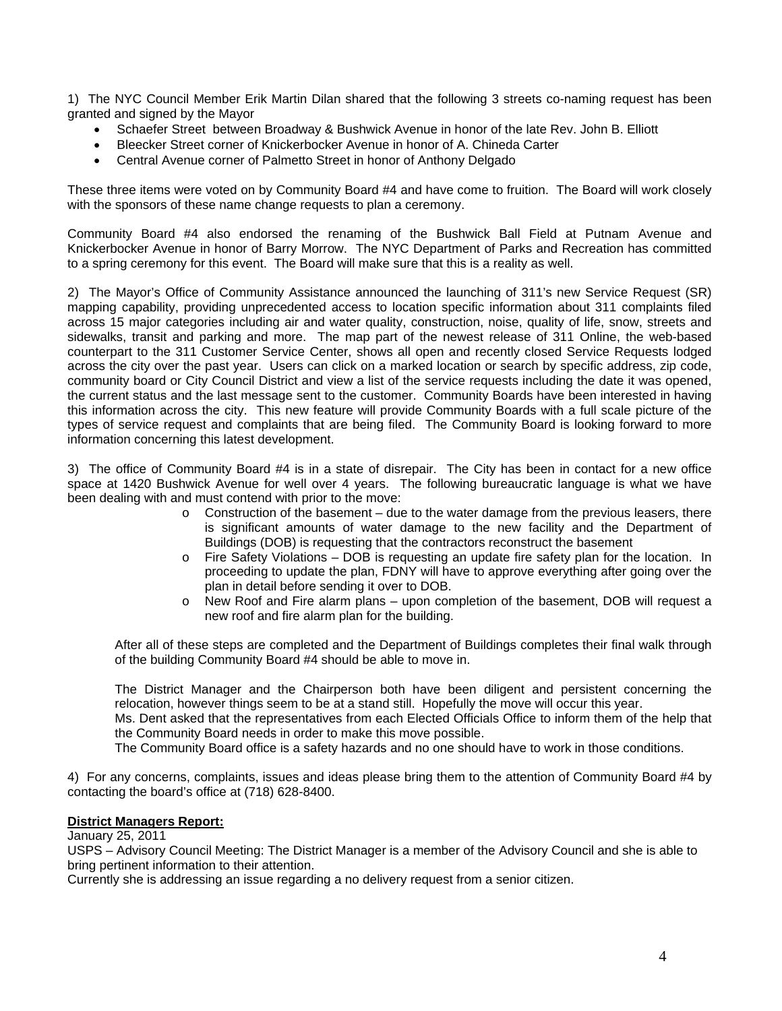1) The NYC Council Member Erik Martin Dilan shared that the following 3 streets co-naming request has been granted and signed by the Mayor

- Schaefer Street between Broadway & Bushwick Avenue in honor of the late Rev. John B. Elliott
- Bleecker Street corner of Knickerbocker Avenue in honor of A. Chineda Carter
- Central Avenue corner of Palmetto Street in honor of Anthony Delgado

These three items were voted on by Community Board #4 and have come to fruition. The Board will work closely with the sponsors of these name change requests to plan a ceremony.

Community Board #4 also endorsed the renaming of the Bushwick Ball Field at Putnam Avenue and Knickerbocker Avenue in honor of Barry Morrow. The NYC Department of Parks and Recreation has committed to a spring ceremony for this event. The Board will make sure that this is a reality as well.

2) The Mayor's Office of Community Assistance announced the launching of 311's new Service Request (SR) mapping capability, providing unprecedented access to location specific information about 311 complaints filed across 15 major categories including air and water quality, construction, noise, quality of life, snow, streets and sidewalks, transit and parking and more. The map part of the newest release of 311 Online, the web-based counterpart to the 311 Customer Service Center, shows all open and recently closed Service Requests lodged across the city over the past year. Users can click on a marked location or search by specific address, zip code, community board or City Council District and view a list of the service requests including the date it was opened, the current status and the last message sent to the customer. Community Boards have been interested in having this information across the city. This new feature will provide Community Boards with a full scale picture of the types of service request and complaints that are being filed. The Community Board is looking forward to more information concerning this latest development.

3) The office of Community Board #4 is in a state of disrepair. The City has been in contact for a new office space at 1420 Bushwick Avenue for well over 4 years. The following bureaucratic language is what we have been dealing with and must contend with prior to the move:

- $\circ$  Construction of the basement due to the water damage from the previous leasers, there is significant amounts of water damage to the new facility and the Department of Buildings (DOB) is requesting that the contractors reconstruct the basement
- o Fire Safety Violations DOB is requesting an update fire safety plan for the location. In proceeding to update the plan, FDNY will have to approve everything after going over the plan in detail before sending it over to DOB.
- o New Roof and Fire alarm plans upon completion of the basement, DOB will request a new roof and fire alarm plan for the building.

After all of these steps are completed and the Department of Buildings completes their final walk through of the building Community Board #4 should be able to move in.

The District Manager and the Chairperson both have been diligent and persistent concerning the relocation, however things seem to be at a stand still. Hopefully the move will occur this year. Ms. Dent asked that the representatives from each Elected Officials Office to inform them of the help that

the Community Board needs in order to make this move possible.

The Community Board office is a safety hazards and no one should have to work in those conditions.

4) For any concerns, complaints, issues and ideas please bring them to the attention of Community Board #4 by contacting the board's office at (718) 628-8400.

### **District Managers Report:**

January 25, 2011

USPS – Advisory Council Meeting: The District Manager is a member of the Advisory Council and she is able to bring pertinent information to their attention.

Currently she is addressing an issue regarding a no delivery request from a senior citizen.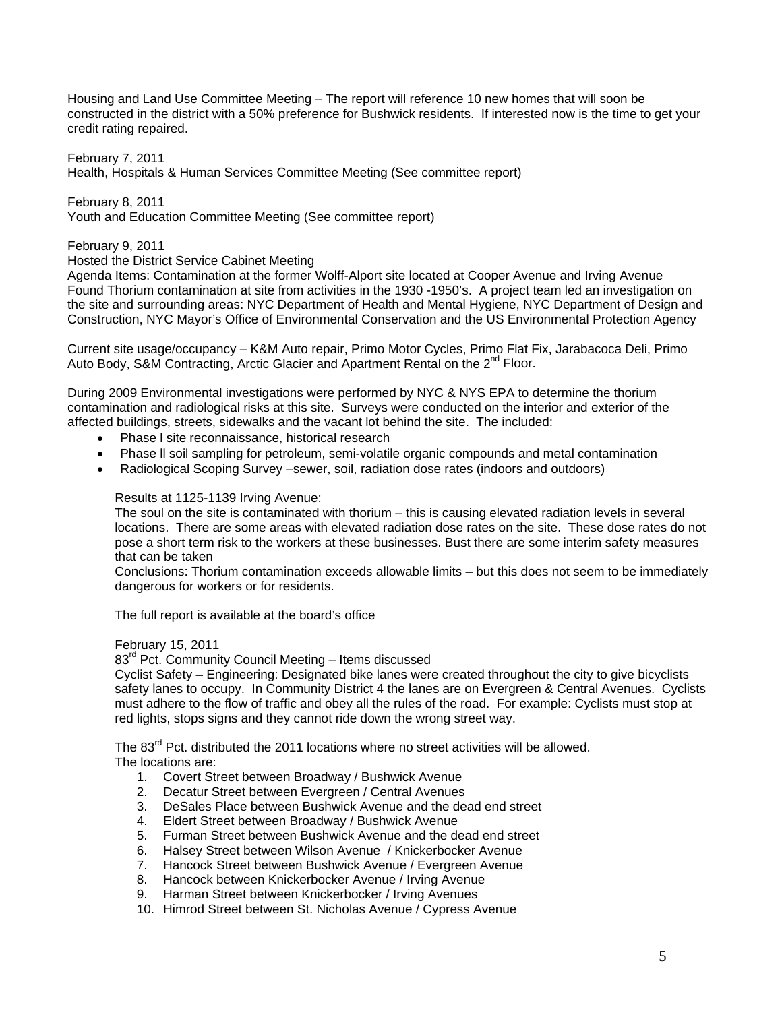Housing and Land Use Committee Meeting – The report will reference 10 new homes that will soon be constructed in the district with a 50% preference for Bushwick residents. If interested now is the time to get your credit rating repaired.

February 7, 2011

Health, Hospitals & Human Services Committee Meeting (See committee report)

February 8, 2011

Youth and Education Committee Meeting (See committee report)

February 9, 2011

#### Hosted the District Service Cabinet Meeting

Agenda Items: Contamination at the former Wolff-Alport site located at Cooper Avenue and Irving Avenue Found Thorium contamination at site from activities in the 1930 -1950's. A project team led an investigation on the site and surrounding areas: NYC Department of Health and Mental Hygiene, NYC Department of Design and Construction, NYC Mayor's Office of Environmental Conservation and the US Environmental Protection Agency

Current site usage/occupancy – K&M Auto repair, Primo Motor Cycles, Primo Flat Fix, Jarabacoca Deli, Primo Auto Body, S&M Contracting, Arctic Glacier and Apartment Rental on the 2<sup>nd</sup> Floor.

During 2009 Environmental investigations were performed by NYC & NYS EPA to determine the thorium contamination and radiological risks at this site. Surveys were conducted on the interior and exterior of the affected buildings, streets, sidewalks and the vacant lot behind the site. The included:

- Phase l site reconnaissance, historical research
- Phase ll soil sampling for petroleum, semi-volatile organic compounds and metal contamination
- Radiological Scoping Survey –sewer, soil, radiation dose rates (indoors and outdoors)

### Results at 1125-1139 Irving Avenue:

The soul on the site is contaminated with thorium – this is causing elevated radiation levels in several locations. There are some areas with elevated radiation dose rates on the site. These dose rates do not pose a short term risk to the workers at these businesses. Bust there are some interim safety measures that can be taken

Conclusions: Thorium contamination exceeds allowable limits – but this does not seem to be immediately dangerous for workers or for residents.

The full report is available at the board's office

#### February 15, 2011

83<sup>rd</sup> Pct. Community Council Meeting – Items discussed

Cyclist Safety – Engineering: Designated bike lanes were created throughout the city to give bicyclists safety lanes to occupy. In Community District 4 the lanes are on Evergreen & Central Avenues. Cyclists must adhere to the flow of traffic and obey all the rules of the road. For example: Cyclists must stop at red lights, stops signs and they cannot ride down the wrong street way.

The 83<sup>rd</sup> Pct. distributed the 2011 locations where no street activities will be allowed. The locations are:

- 1. Covert Street between Broadway / Bushwick Avenue
- 2. Decatur Street between Evergreen / Central Avenues
- 3. DeSales Place between Bushwick Avenue and the dead end street
- 4. Eldert Street between Broadway / Bushwick Avenue
- 5. Furman Street between Bushwick Avenue and the dead end street
- 6. Halsey Street between Wilson Avenue / Knickerbocker Avenue
- 7. Hancock Street between Bushwick Avenue / Evergreen Avenue
- 8. Hancock between Knickerbocker Avenue / Irving Avenue<br>9. Harman Street between Knickerbocker / Irving Avenues
- Harman Street between Knickerbocker / Irving Avenues
- 10. Himrod Street between St. Nicholas Avenue / Cypress Avenue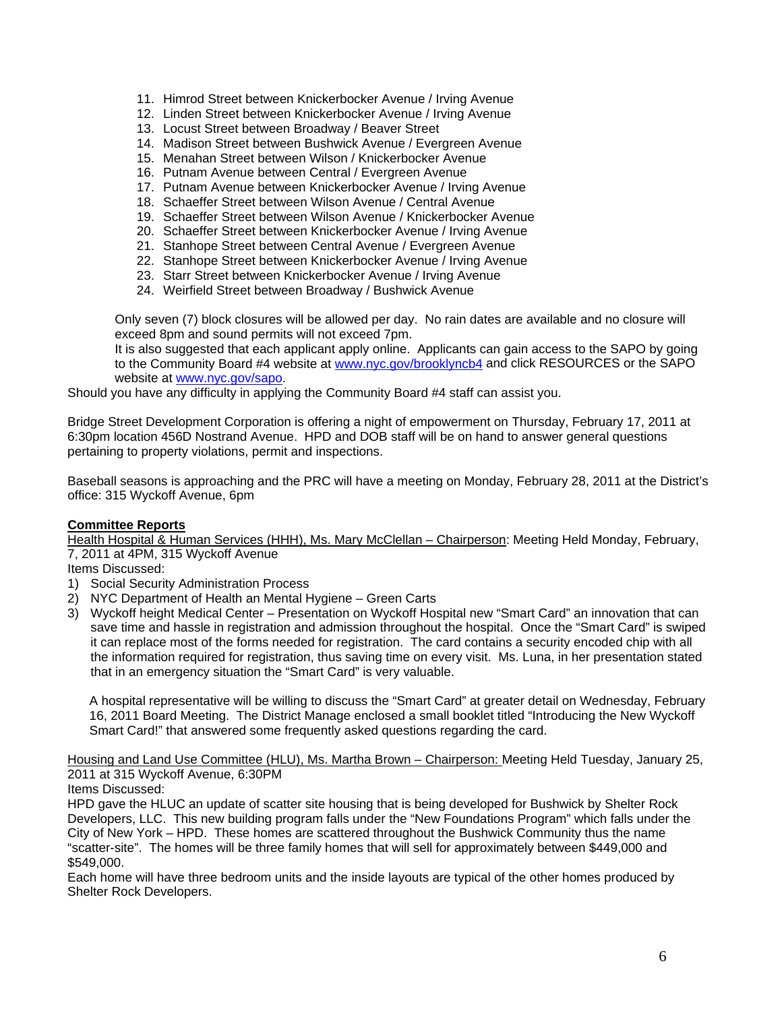- 11. Himrod Street between Knickerbocker Avenue / Irving Avenue
- 12. Linden Street between Knickerbocker Avenue / Irving Avenue
- 13. Locust Street between Broadway / Beaver Street
- 14. Madison Street between Bushwick Avenue / Evergreen Avenue
- 15. Menahan Street between Wilson / Knickerbocker Avenue
- 16. Putnam Avenue between Central / Evergreen Avenue
- 17. Putnam Avenue between Knickerbocker Avenue / Irving Avenue
- 18. Schaeffer Street between Wilson Avenue / Central Avenue
- 19. Schaeffer Street between Wilson Avenue / Knickerbocker Avenue
- 20. Schaeffer Street between Knickerbocker Avenue / Irving Avenue
- 21. Stanhope Street between Central Avenue / Evergreen Avenue
- 22. Stanhope Street between Knickerbocker Avenue / Irving Avenue
- 23. Starr Street between Knickerbocker Avenue / Irving Avenue
- 24. Weirfield Street between Broadway / Bushwick Avenue

Only seven (7) block closures will be allowed per day. No rain dates are available and no closure will exceed 8pm and sound permits will not exceed 7pm.

It is also suggested that each applicant apply online. Applicants can gain access to the SAPO by going to the Community Board #4 website at [www.nyc.gov/brooklyncb4](http://www.nyc.gov/brooklyncb4) and click RESOURCES or the SAPO website at [www.nyc.gov/sapo](http://www.nyc.gov/sapo).

Should you have any difficulty in applying the Community Board #4 staff can assist you.

Bridge Street Development Corporation is offering a night of empowerment on Thursday, February 17, 2011 at 6:30pm location 456D Nostrand Avenue. HPD and DOB staff will be on hand to answer general questions pertaining to property violations, permit and inspections.

Baseball seasons is approaching and the PRC will have a meeting on Monday, February 28, 2011 at the District's office: 315 Wyckoff Avenue, 6pm

# **Committee Reports**

Health Hospital & Human Services (HHH), Ms. Mary McClellan - Chairperson: Meeting Held Monday, February, 7, 2011 at 4PM, 315 Wyckoff Avenue

Items Discussed:

- 1) Social Security Administration Process
- 2) NYC Department of Health an Mental Hygiene Green Carts
- 3) Wyckoff height Medical Center Presentation on Wyckoff Hospital new "Smart Card" an innovation that can save time and hassle in registration and admission throughout the hospital. Once the "Smart Card" is swiped it can replace most of the forms needed for registration. The card contains a security encoded chip with all the information required for registration, thus saving time on every visit. Ms. Luna, in her presentation stated that in an emergency situation the "Smart Card" is very valuable.

A hospital representative will be willing to discuss the "Smart Card" at greater detail on Wednesday, February 16, 2011 Board Meeting. The District Manage enclosed a small booklet titled "Introducing the New Wyckoff Smart Card!" that answered some frequently asked questions regarding the card.

Housing and Land Use Committee (HLU), Ms. Martha Brown – Chairperson: Meeting Held Tuesday, January 25, 2011 at 315 Wyckoff Avenue, 6:30PM

Items Discussed:

HPD gave the HLUC an update of scatter site housing that is being developed for Bushwick by Shelter Rock Developers, LLC. This new building program falls under the "New Foundations Program" which falls under the City of New York – HPD. These homes are scattered throughout the Bushwick Community thus the name "scatter-site". The homes will be three family homes that will sell for approximately between \$449,000 and \$549,000.

Each home will have three bedroom units and the inside layouts are typical of the other homes produced by Shelter Rock Developers.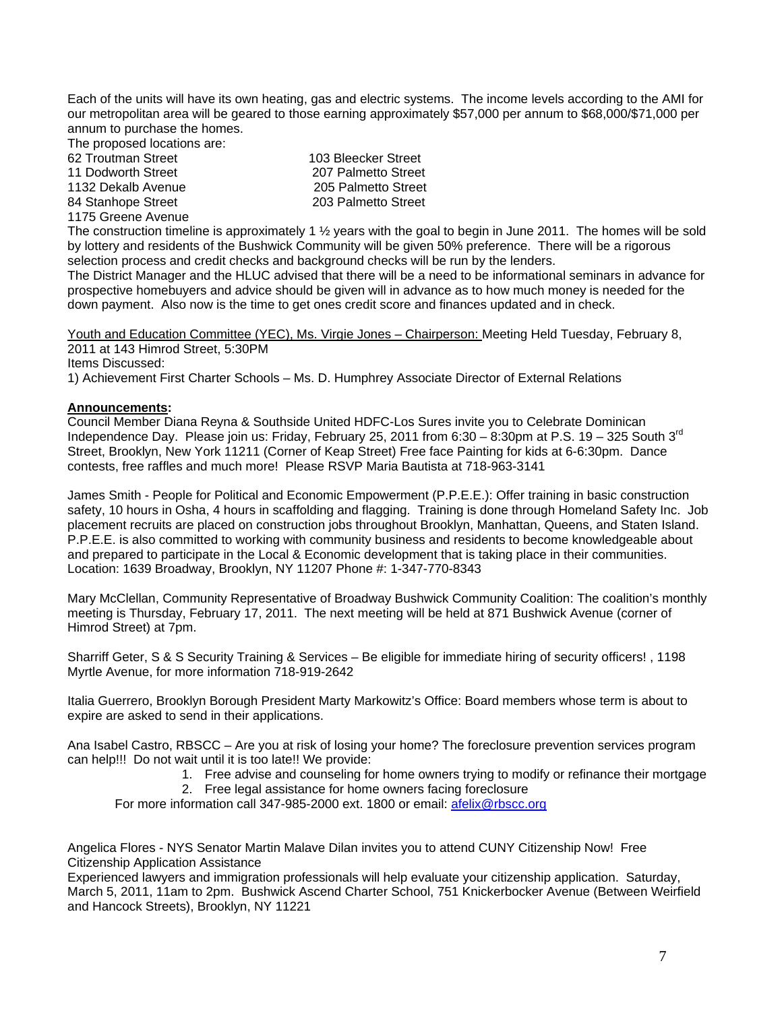Each of the units will have its own heating, gas and electric systems. The income levels according to the AMI for our metropolitan area will be geared to those earning approximately \$57,000 per annum to \$68,000/\$71,000 per annum to purchase the homes.

The proposed locations are:

| 62 Troutman Street | 103 Bleecker Street |
|--------------------|---------------------|
| 11 Dodworth Street | 207 Palmetto Street |
| 1132 Dekalb Avenue | 205 Palmetto Street |
| 84 Stanhope Street | 203 Palmetto Street |
|                    |                     |

1175 Greene Avenue

The construction timeline is approximately 1 ½ years with the goal to begin in June 2011. The homes will be sold by lottery and residents of the Bushwick Community will be given 50% preference. There will be a rigorous selection process and credit checks and background checks will be run by the lenders.

The District Manager and the HLUC advised that there will be a need to be informational seminars in advance for prospective homebuyers and advice should be given will in advance as to how much money is needed for the down payment. Also now is the time to get ones credit score and finances updated and in check.

Youth and Education Committee (YEC), Ms. Virgie Jones – Chairperson: Meeting Held Tuesday, February 8, 2011 at 143 Himrod Street, 5:30PM

Items Discussed:

1) Achievement First Charter Schools – Ms. D. Humphrey Associate Director of External Relations

## **Announcements:**

Council Member Diana Reyna & Southside United HDFC-Los Sures invite you to Celebrate Dominican Independence Day. Please join us: Friday, February 25, 2011 from 6:30  $-$  8:30pm at P.S. 19 - 325 South 3<sup>rd</sup> Street, Brooklyn, New York 11211 (Corner of Keap Street) Free face Painting for kids at 6-6:30pm. Dance contests, free raffles and much more! Please RSVP Maria Bautista at 718-963-3141

James Smith - People for Political and Economic Empowerment (P.P.E.E.): Offer training in basic construction safety, 10 hours in Osha, 4 hours in scaffolding and flagging. Training is done through Homeland Safety Inc. Job placement recruits are placed on construction jobs throughout Brooklyn, Manhattan, Queens, and Staten Island. P.P.E.E. is also committed to working with community business and residents to become knowledgeable about and prepared to participate in the Local & Economic development that is taking place in their communities. Location: 1639 Broadway, Brooklyn, NY 11207 Phone #: 1-347-770-8343

Mary McClellan, Community Representative of Broadway Bushwick Community Coalition: The coalition's monthly meeting is Thursday, February 17, 2011. The next meeting will be held at 871 Bushwick Avenue (corner of Himrod Street) at 7pm.

Sharriff Geter, S & S Security Training & Services – Be eligible for immediate hiring of security officers! , 1198 Myrtle Avenue, for more information 718-919-2642

Italia Guerrero, Brooklyn Borough President Marty Markowitz's Office: Board members whose term is about to expire are asked to send in their applications.

Ana Isabel Castro, RBSCC – Are you at risk of losing your home? The foreclosure prevention services program can help!!! Do not wait until it is too late!! We provide:

- 1. Free advise and counseling for home owners trying to modify or refinance their mortgage
- 2. Free legal assistance for home owners facing foreclosure

For more information call 347-985-2000 ext. 1800 or email: [afelix@rbscc.org](mailto:afelix@rbscc.org)

Angelica Flores - NYS Senator Martin Malave Dilan invites you to attend CUNY Citizenship Now! Free Citizenship Application Assistance

Experienced lawyers and immigration professionals will help evaluate your citizenship application. Saturday, March 5, 2011, 11am to 2pm. Bushwick Ascend Charter School, 751 Knickerbocker Avenue (Between Weirfield and Hancock Streets), Brooklyn, NY 11221